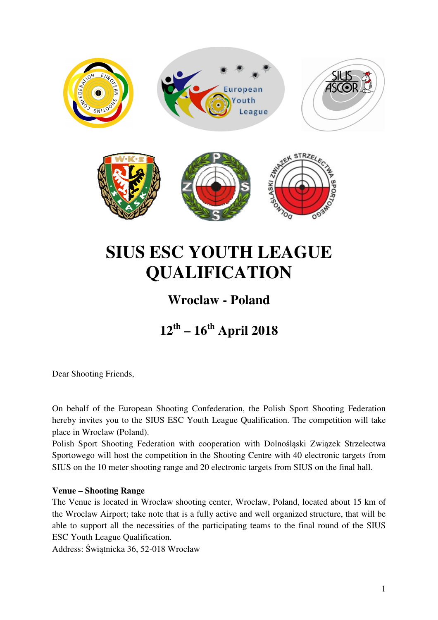

# **SIUS ESC YOUTH LEAGUE QUALIFICATION**

## **Wroclaw - Poland**

# **12th – 16th April 2018**

Dear Shooting Friends,

On behalf of the European Shooting Confederation, the Polish Sport Shooting Federation hereby invites you to the SIUS ESC Youth League Qualification. The competition will take place in Wroclaw (Poland).

Polish Sport Shooting Federation with cooperation with Dolnośląski Związek Strzelectwa Sportowego will host the competition in the Shooting Centre with 40 electronic targets from SIUS on the 10 meter shooting range and 20 electronic targets from SIUS on the final hall.

#### **Venue – Shooting Range**

The Venue is located in Wroclaw shooting center, Wroclaw, Poland, located about 15 km of the Wroclaw Airport; take note that is a fully active and well organized structure, that will be able to support all the necessities of the participating teams to the final round of the SIUS ESC Youth League Qualification.

Address: Świątnicka 36, 52-018 Wrocław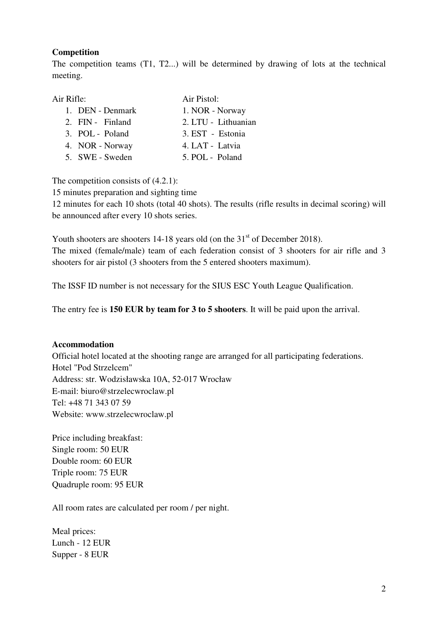#### **Competition**

The competition teams (T1, T2...) will be determined by drawing of lots at the technical meeting.

| Air Rifle:       | Air Pistol:         |
|------------------|---------------------|
| 1. DEN - Denmark | 1. NOR - Norway     |
| 2. FIN - Finland | 2. LTU - Lithuanian |
| 3. POL - Poland  | 3. EST - Estonia    |
| 4. NOR - Norway  | 4. LAT - Latvia     |
| 5. SWE - Sweden  | 5. POL - Poland     |

The competition consists of  $(4.2.1)$ :

15 minutes preparation and sighting time

12 minutes for each 10 shots (total 40 shots). The results (rifle results in decimal scoring) will be announced after every 10 shots series.

Youth shooters are shooters  $14-18$  years old (on the  $31<sup>st</sup>$  of December 2018).

The mixed (female/male) team of each federation consist of 3 shooters for air rifle and 3 shooters for air pistol (3 shooters from the 5 entered shooters maximum).

The ISSF ID number is not necessary for the SIUS ESC Youth League Qualification.

The entry fee is **150 EUR by team for 3 to 5 shooters**. It will be paid upon the arrival.

#### **Accommodation**

Official hotel located at the shooting range are arranged for all participating federations. Hotel "Pod Strzelcem" Address: str. Wodzisławska 10A, 52-017 Wrocław E-mail: biuro@strzelecwroclaw.pl Tel: +48 71 343 07 59 Website: www.strzelecwroclaw.pl

Price including breakfast: Single room: 50 EUR Double room: 60 EUR Triple room: 75 EUR Quadruple room: 95 EUR

All room rates are calculated per room / per night.

Meal prices: Lunch - 12 EUR Supper - 8 EUR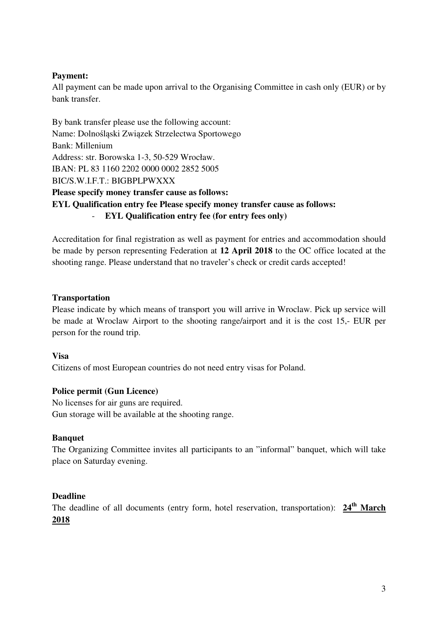#### **Payment:**

All payment can be made upon arrival to the Organising Committee in cash only (EUR) or by bank transfer.

By bank transfer please use the following account: Name: Dolnośląski Związek Strzelectwa Sportowego Bank: Millenium Address: str. Borowska 1-3, 50-529 Wrocław. IBAN: PL 83 1160 2202 0000 0002 2852 5005 BIC/S.W.I.F.T.: BIGBPLPWXXX **Please specify money transfer cause as follows: EYL Qualification entry fee Please specify money transfer cause as follows:**  - **EYL Qualification entry fee (for entry fees only)** 

Accreditation for final registration as well as payment for entries and accommodation should be made by person representing Federation at **12 April 2018** to the OC office located at the shooting range. Please understand that no traveler's check or credit cards accepted!

#### **Transportation**

Please indicate by which means of transport you will arrive in Wroclaw. Pick up service will be made at Wroclaw Airport to the shooting range/airport and it is the cost 15,- EUR per person for the round trip.

#### **Visa**

Citizens of most European countries do not need entry visas for Poland.

#### **Police permit (Gun Licence)**

No licenses for air guns are required. Gun storage will be available at the shooting range.

#### **Banquet**

The Organizing Committee invites all participants to an "informal" banquet, which will take place on Saturday evening.

#### **Deadline**

The deadline of all documents (entry form, hotel reservation, transportation): **24th March 2018**